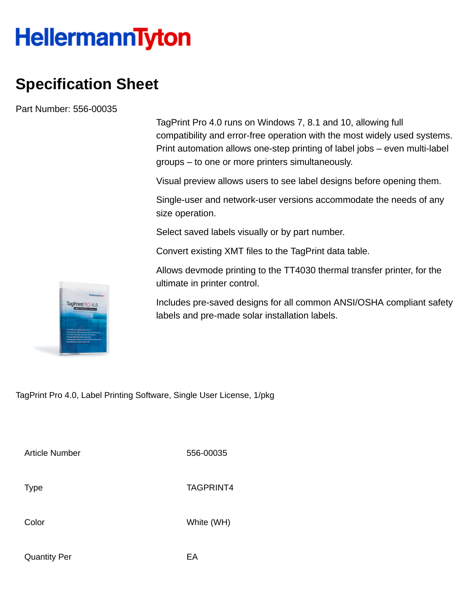## **HellermannTyton**

## **Specification Sheet**

Part Number: 556-00035

TagPrint Pro 4.0 runs on Windows 7, 8.1 and 10, allowing full compatibility and error-free operation with the most widely used systems. Print automation allows one-step printing of label jobs – even multi-label groups – to one or more printers simultaneously.

Visual preview allows users to see label designs before opening them.

Single-user and network-user versions accommodate the needs of any size operation.

Select saved labels visually or by part number.

Convert existing XMT files to the TagPrint data table.

Allows devmode printing to the TT4030 thermal transfer printer, for the ultimate in printer control.

Includes pre-saved designs for all common ANSI/OSHA compliant safety labels and pre-made solar installation labels.

TagPrint Pro 4.0, Label Printing Software, Single User License, 1/pkg

Article Number 556-00035

Type TAGPRINT4

Color White (WH)

Quantity Per **EA** 

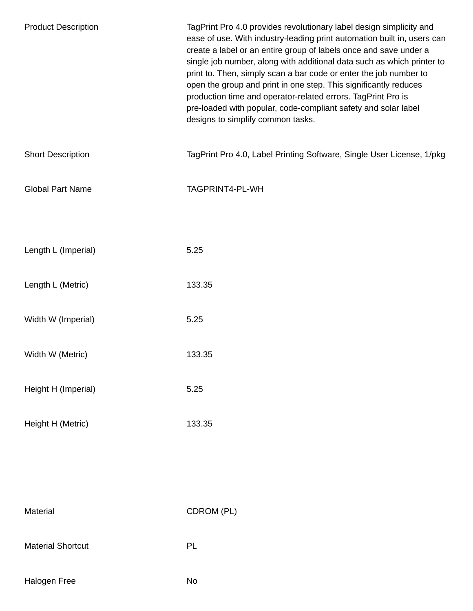| <b>Product Description</b> | TagPrint Pro 4.0 provides revolutionary label design simplicity and<br>ease of use. With industry-leading print automation built in, users can<br>create a label or an entire group of labels once and save under a<br>single job number, along with additional data such as which printer to<br>print to. Then, simply scan a bar code or enter the job number to<br>open the group and print in one step. This significantly reduces<br>production time and operator-related errors. TagPrint Pro is<br>pre-loaded with popular, code-compliant safety and solar label<br>designs to simplify common tasks. |
|----------------------------|---------------------------------------------------------------------------------------------------------------------------------------------------------------------------------------------------------------------------------------------------------------------------------------------------------------------------------------------------------------------------------------------------------------------------------------------------------------------------------------------------------------------------------------------------------------------------------------------------------------|
| <b>Short Description</b>   | TagPrint Pro 4.0, Label Printing Software, Single User License, 1/pkg                                                                                                                                                                                                                                                                                                                                                                                                                                                                                                                                         |
| <b>Global Part Name</b>    | TAGPRINT4-PL-WH                                                                                                                                                                                                                                                                                                                                                                                                                                                                                                                                                                                               |
|                            |                                                                                                                                                                                                                                                                                                                                                                                                                                                                                                                                                                                                               |
| Length L (Imperial)        | 5.25                                                                                                                                                                                                                                                                                                                                                                                                                                                                                                                                                                                                          |
| Length L (Metric)          | 133.35                                                                                                                                                                                                                                                                                                                                                                                                                                                                                                                                                                                                        |
| Width W (Imperial)         | 5.25                                                                                                                                                                                                                                                                                                                                                                                                                                                                                                                                                                                                          |
| Width W (Metric)           | 133.35                                                                                                                                                                                                                                                                                                                                                                                                                                                                                                                                                                                                        |
| Height H (Imperial)        | 5.25                                                                                                                                                                                                                                                                                                                                                                                                                                                                                                                                                                                                          |
| Height H (Metric)          | 133.35                                                                                                                                                                                                                                                                                                                                                                                                                                                                                                                                                                                                        |
|                            |                                                                                                                                                                                                                                                                                                                                                                                                                                                                                                                                                                                                               |
|                            |                                                                                                                                                                                                                                                                                                                                                                                                                                                                                                                                                                                                               |
| Material                   | CDROM (PL)                                                                                                                                                                                                                                                                                                                                                                                                                                                                                                                                                                                                    |
| <b>Material Shortcut</b>   | PL                                                                                                                                                                                                                                                                                                                                                                                                                                                                                                                                                                                                            |
| Halogen Free               | No                                                                                                                                                                                                                                                                                                                                                                                                                                                                                                                                                                                                            |